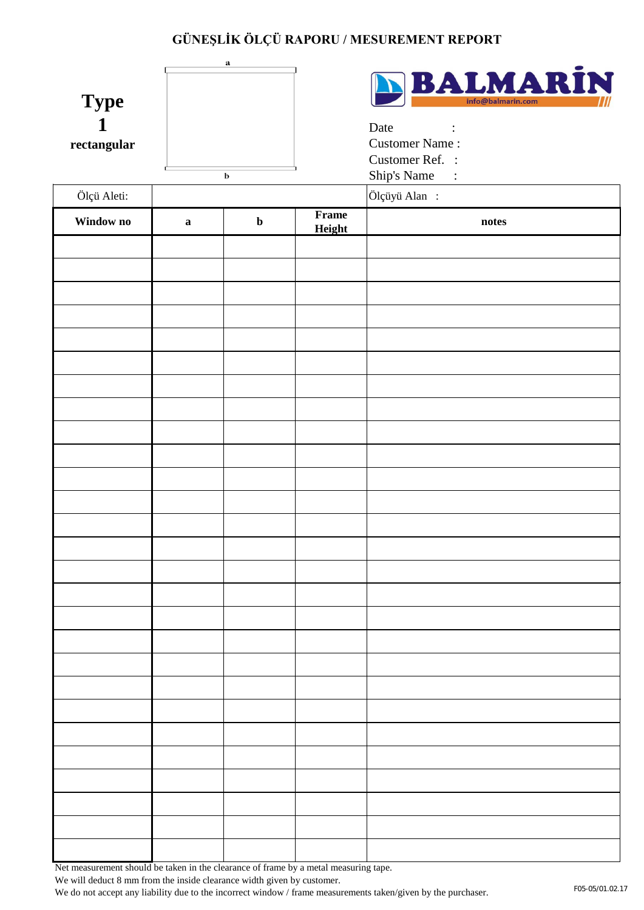| <b>Type</b><br>$\mathbf{1}$<br>rectangular |              | સ<br>b      |                 | <b>BALMARIN</b><br>Date<br>$\mathcal{L}^{\text{max}}_{\text{max}}$<br><b>Customer Name:</b><br>Customer Ref. :<br>Ship's Name: |
|--------------------------------------------|--------------|-------------|-----------------|--------------------------------------------------------------------------------------------------------------------------------|
| Ölçü Aleti:                                |              |             |                 | Ölçüyü Alan:                                                                                                                   |
| Window no                                  | $\mathbf{a}$ | $\mathbf b$ | Frame<br>Height | notes                                                                                                                          |
|                                            |              |             |                 |                                                                                                                                |
|                                            |              |             |                 |                                                                                                                                |
|                                            |              |             |                 |                                                                                                                                |
|                                            |              |             |                 |                                                                                                                                |
|                                            |              |             |                 |                                                                                                                                |
|                                            |              |             |                 |                                                                                                                                |
|                                            |              |             |                 |                                                                                                                                |
|                                            |              |             |                 |                                                                                                                                |
|                                            |              |             |                 |                                                                                                                                |
|                                            |              |             |                 |                                                                                                                                |
|                                            |              |             |                 |                                                                                                                                |
|                                            |              |             |                 |                                                                                                                                |
|                                            |              |             |                 |                                                                                                                                |
|                                            |              |             |                 |                                                                                                                                |
|                                            |              |             |                 |                                                                                                                                |
|                                            |              |             |                 |                                                                                                                                |
|                                            |              |             |                 |                                                                                                                                |
|                                            |              |             |                 |                                                                                                                                |
|                                            |              |             |                 |                                                                                                                                |
|                                            |              |             |                 |                                                                                                                                |
|                                            |              |             |                 |                                                                                                                                |
|                                            |              |             |                 |                                                                                                                                |
|                                            |              |             |                 |                                                                                                                                |
|                                            |              |             |                 |                                                                                                                                |
|                                            |              |             |                 |                                                                                                                                |

Net measurement should be taken in the clearance of frame by a metal measuring tape.

We will deduct 8 mm from the inside clearance width given by customer.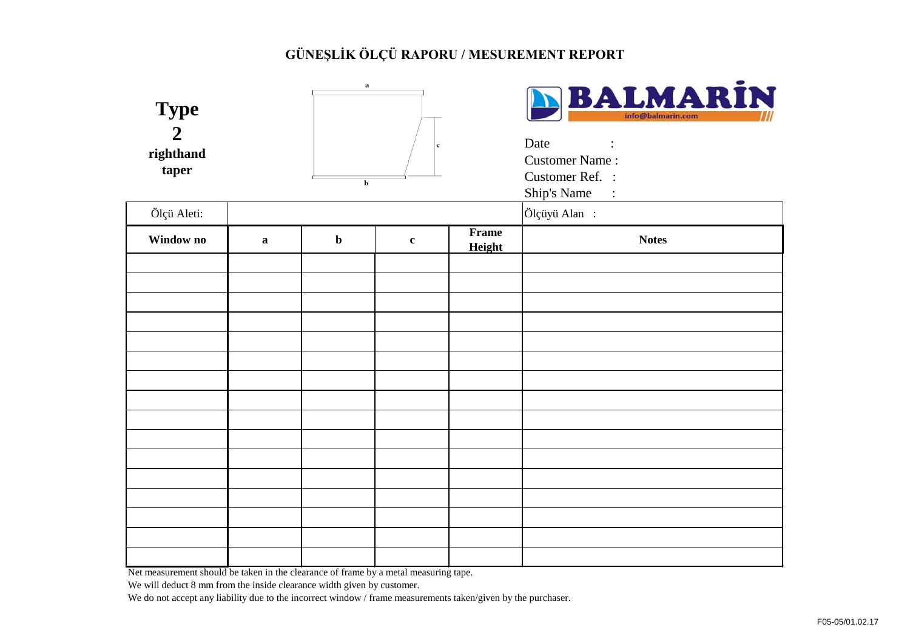| <b>Type</b><br>$\overline{2}$<br>righthand<br>taper |                                                                                     | $\mathbf a$<br>b | c           |                 | BALMARIN<br>Date<br>$\sim 10^{11}$<br><b>Customer Name:</b><br>Customer Ref. :<br>Ship's Name: |
|-----------------------------------------------------|-------------------------------------------------------------------------------------|------------------|-------------|-----------------|------------------------------------------------------------------------------------------------|
| Ölçü Aleti:                                         |                                                                                     |                  |             |                 | Ölçüyü Alan:                                                                                   |
| Window no                                           | $\mathbf{a}$                                                                        | $\mathbf b$      | $\mathbf c$ | Frame<br>Height | <b>Notes</b>                                                                                   |
|                                                     |                                                                                     |                  |             |                 |                                                                                                |
|                                                     |                                                                                     |                  |             |                 |                                                                                                |
|                                                     |                                                                                     |                  |             |                 |                                                                                                |
|                                                     |                                                                                     |                  |             |                 |                                                                                                |
|                                                     |                                                                                     |                  |             |                 |                                                                                                |
|                                                     |                                                                                     |                  |             |                 |                                                                                                |
|                                                     |                                                                                     |                  |             |                 |                                                                                                |
|                                                     |                                                                                     |                  |             |                 |                                                                                                |
|                                                     |                                                                                     |                  |             |                 |                                                                                                |
|                                                     |                                                                                     |                  |             |                 |                                                                                                |
|                                                     |                                                                                     |                  |             |                 |                                                                                                |
|                                                     |                                                                                     |                  |             |                 |                                                                                                |
|                                                     |                                                                                     |                  |             |                 |                                                                                                |
|                                                     |                                                                                     |                  |             |                 |                                                                                                |
| $NT - 1$                                            | $\frac{1}{2}$ the contribution is the classes of frame last such that $\frac{1}{2}$ |                  |             |                 |                                                                                                |

Net measurement should be taken in the clearance of frame by a metal measuring tape.

We will deduct 8 mm from the inside clearance width given by customer.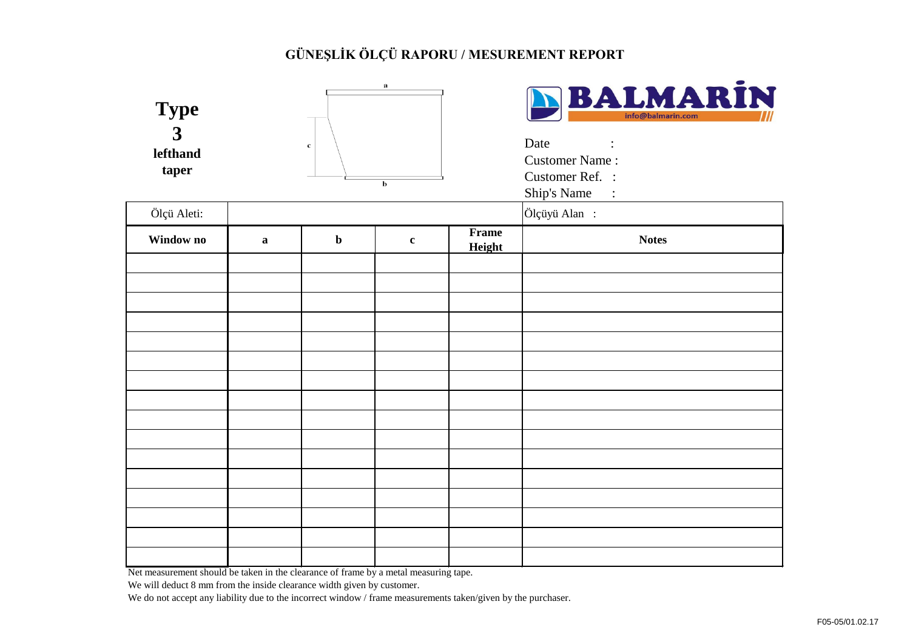| <b>Type</b><br>$\overline{\mathbf{3}}$<br>lefthand<br>taper                        |             | $\mathbf c$ | a<br>b      |              | BALMARIN<br>info@balmarin.com<br>Date<br>$\ddot{\cdot}$<br><b>Customer Name:</b><br>Customer Ref. :<br>Ship's Name:<br>Ölçüyü Alan: |
|------------------------------------------------------------------------------------|-------------|-------------|-------------|--------------|-------------------------------------------------------------------------------------------------------------------------------------|
| Ölçü Aleti:                                                                        |             |             |             | <b>Frame</b> |                                                                                                                                     |
| Window no                                                                          | $\mathbf a$ | $\mathbf b$ | $\mathbf c$ | Height       | <b>Notes</b>                                                                                                                        |
|                                                                                    |             |             |             |              |                                                                                                                                     |
|                                                                                    |             |             |             |              |                                                                                                                                     |
|                                                                                    |             |             |             |              |                                                                                                                                     |
|                                                                                    |             |             |             |              |                                                                                                                                     |
|                                                                                    |             |             |             |              |                                                                                                                                     |
|                                                                                    |             |             |             |              |                                                                                                                                     |
|                                                                                    |             |             |             |              |                                                                                                                                     |
|                                                                                    |             |             |             |              |                                                                                                                                     |
|                                                                                    |             |             |             |              |                                                                                                                                     |
|                                                                                    |             |             |             |              |                                                                                                                                     |
|                                                                                    |             |             |             |              |                                                                                                                                     |
|                                                                                    |             |             |             |              |                                                                                                                                     |
|                                                                                    |             |             |             |              |                                                                                                                                     |
|                                                                                    |             |             |             |              |                                                                                                                                     |
|                                                                                    |             |             |             |              |                                                                                                                                     |
| Not measurement should be telem in the elegance of frome by a motel measuring tens |             |             |             |              |                                                                                                                                     |

Net measurement should be taken in the clearance of frame by a metal measuring tape.

We will deduct 8 mm from the inside clearance width given by customer.